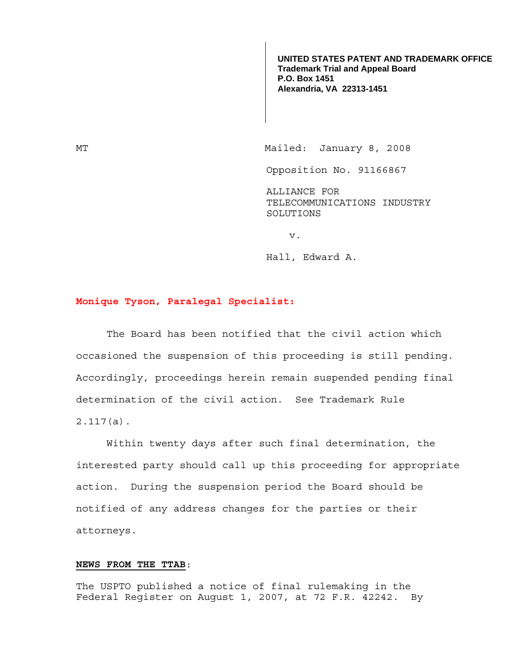**UNITED STATES PATENT AND TRADEMARK OFFICE Trademark Trial and Appeal Board P.O. Box 1451 Alexandria, VA 22313-1451**

MT Mailed: January 8, 2008

Opposition No. 91166867

ALLIANCE FOR TELECOMMUNICATIONS INDUSTRY SOLUTIONS

v.

Hall, Edward A.

## **Monique Tyson, Paralegal Specialist:**

 The Board has been notified that the civil action which occasioned the suspension of this proceeding is still pending. Accordingly, proceedings herein remain suspended pending final determination of the civil action. See Trademark Rule 2.117(a).

Within twenty days after such final determination, the interested party should call up this proceeding for appropriate action. During the suspension period the Board should be notified of any address changes for the parties or their attorneys.

## **NEWS FROM THE TTAB**:

The USPTO published a notice of final rulemaking in the Federal Register on August 1, 2007, at 72 F.R. 42242. By